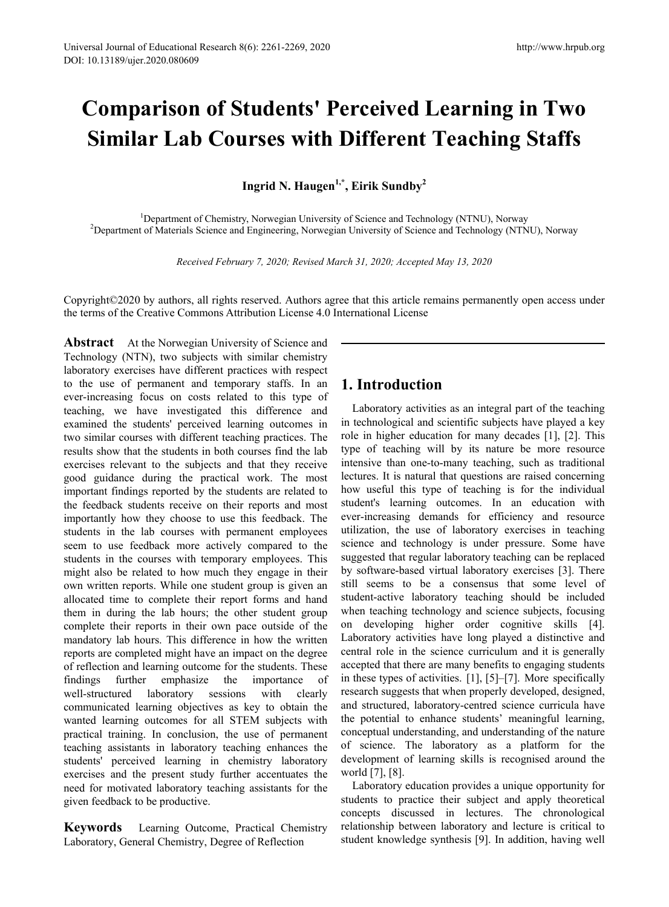## **Comparison of Students' Perceived Learning in Two Similar Lab Courses with Different Teaching Staffs**

**Ingrid N. Haugen1,\*, Eirik Sundby2**

<sup>1</sup> Department of Chemistry, Norwegian University of Science and Technology (NTNU), Norway<br><sup>2</sup> Department of Materials Science and Engineering, Norwegian University of Science and Technology (NTN) <sup>2</sup>Department of Materials Science and Engineering, Norwegian University of Science and Technology (NTNU), Norway

*Received February 7, 2020; Revised March 31, 2020; Accepted May 13, 2020*

Copyright©2020 by authors, all rights reserved. Authors agree that this article remains permanently open access under the terms of the Creative Commons Attribution License 4.0 International License

**Abstract** At the Norwegian University of Science and Technology (NTN), two subjects with similar chemistry laboratory exercises have different practices with respect to the use of permanent and temporary staffs. In an ever-increasing focus on costs related to this type of teaching, we have investigated this difference and examined the students' perceived learning outcomes in two similar courses with different teaching practices. The results show that the students in both courses find the lab exercises relevant to the subjects and that they receive good guidance during the practical work. The most important findings reported by the students are related to the feedback students receive on their reports and most importantly how they choose to use this feedback. The students in the lab courses with permanent employees seem to use feedback more actively compared to the students in the courses with temporary employees. This might also be related to how much they engage in their own written reports. While one student group is given an allocated time to complete their report forms and hand them in during the lab hours; the other student group complete their reports in their own pace outside of the mandatory lab hours. This difference in how the written reports are completed might have an impact on the degree of reflection and learning outcome for the students. These findings further emphasize the importance of well-structured laboratory sessions with clearly communicated learning objectives as key to obtain the wanted learning outcomes for all STEM subjects with practical training. In conclusion, the use of permanent teaching assistants in laboratory teaching enhances the students' perceived learning in chemistry laboratory exercises and the present study further accentuates the need for motivated laboratory teaching assistants for the given feedback to be productive.

**Keywords** Learning Outcome, Practical Chemistry Laboratory, General Chemistry, Degree of Reflection

## **1. Introduction**

Laboratory activities as an integral part of the teaching in technological and scientific subjects have played a key role in higher education for many decades [1], [2]. This type of teaching will by its nature be more resource intensive than one-to-many teaching, such as traditional lectures. It is natural that questions are raised concerning how useful this type of teaching is for the individual student's learning outcomes. In an education with ever-increasing demands for efficiency and resource utilization, the use of laboratory exercises in teaching science and technology is under pressure. Some have suggested that regular laboratory teaching can be replaced by software-based virtual laboratory exercises [3]. There still seems to be a consensus that some level of student-active laboratory teaching should be included when teaching technology and science subjects, focusing on developing higher order cognitive skills [4]. Laboratory activities have long played a distinctive and central role in the science curriculum and it is generally accepted that there are many benefits to engaging students in these types of activities. [1], [5]–[7]. More specifically research suggests that when properly developed, designed, and structured, laboratory-centred science curricula have the potential to enhance students' meaningful learning, conceptual understanding, and understanding of the nature of science. The laboratory as a platform for the development of learning skills is recognised around the world [7], [8].

Laboratory education provides a unique opportunity for students to practice their subject and apply theoretical concepts discussed in lectures. The chronological relationship between laboratory and lecture is critical to student knowledge synthesis [9]. In addition, having well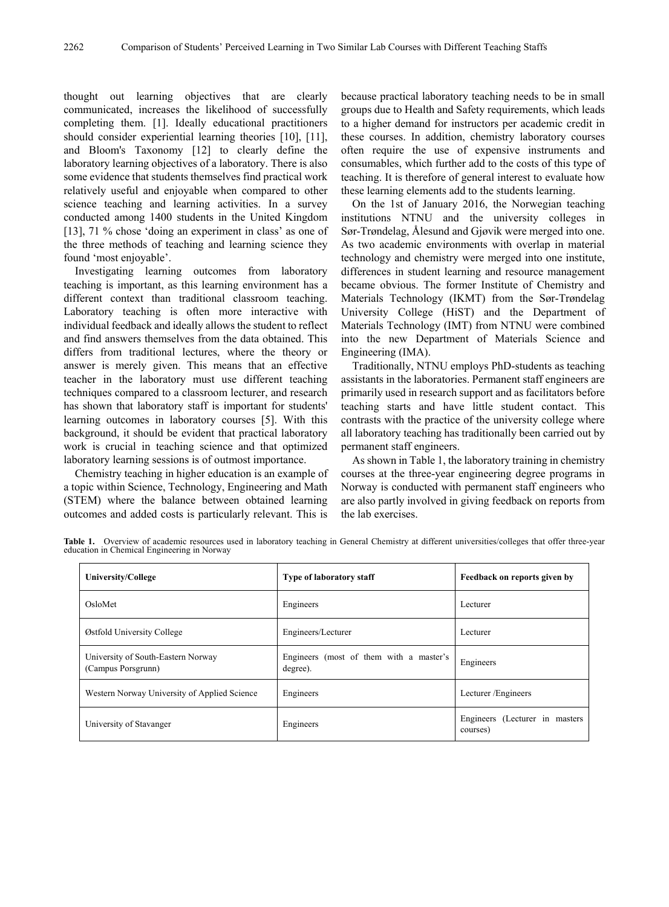thought out learning objectives that are clearly communicated, increases the likelihood of successfully completing them. [1]. Ideally educational practitioners should consider experiential learning theories [10], [11], and Bloom's Taxonomy [12] to clearly define the laboratory learning objectives of a laboratory. There is also some evidence that students themselves find practical work relatively useful and enjoyable when compared to other science teaching and learning activities. In a survey conducted among 1400 students in the United Kingdom [13], 71 % chose 'doing an experiment in class' as one of the three methods of teaching and learning science they found 'most enjoyable'.

Investigating learning outcomes from laboratory teaching is important, as this learning environment has a different context than traditional classroom teaching. Laboratory teaching is often more interactive with individual feedback and ideally allows the student to reflect and find answers themselves from the data obtained. This differs from traditional lectures, where the theory or answer is merely given. This means that an effective teacher in the laboratory must use different teaching techniques compared to a classroom lecturer, and research has shown that laboratory staff is important for students' learning outcomes in laboratory courses [5]. With this background, it should be evident that practical laboratory work is crucial in teaching science and that optimized laboratory learning sessions is of outmost importance.

Chemistry teaching in higher education is an example of a topic within Science, Technology, Engineering and Math (STEM) where the balance between obtained learning outcomes and added costs is particularly relevant. This is

because practical laboratory teaching needs to be in small groups due to Health and Safety requirements, which leads to a higher demand for instructors per academic credit in these courses. In addition, chemistry laboratory courses often require the use of expensive instruments and consumables, which further add to the costs of this type of teaching. It is therefore of general interest to evaluate how these learning elements add to the students learning.

On the 1st of January 2016, the Norwegian teaching institutions NTNU and the university colleges in Sør-Trøndelag, Ålesund and Gjøvik were merged into one. As two academic environments with overlap in material technology and chemistry were merged into one institute, differences in student learning and resource management became obvious. The former Institute of Chemistry and Materials Technology (IKMT) from the Sør-Trøndelag University College (HiST) and the Department of Materials Technology (IMT) from NTNU were combined into the new Department of Materials Science and Engineering (IMA).

Traditionally, NTNU employs PhD-students as teaching assistants in the laboratories. Permanent staff engineers are primarily used in research support and as facilitators before teaching starts and have little student contact. This contrasts with the practice of the university college where all laboratory teaching has traditionally been carried out by permanent staff engineers.

As shown in Table 1, the laboratory training in chemistry courses at the three-year engineering degree programs in Norway is conducted with permanent staff engineers who are also partly involved in giving feedback on reports from the lab exercises.

Table 1. Overview of academic resources used in laboratory teaching in General Chemistry at different universities/colleges that offer three-year education in Chemical Engineering in Norway

| <b>University/College</b>                                | <b>Type of laboratory staff</b>                     | Feedback on reports given by                |  |  |
|----------------------------------------------------------|-----------------------------------------------------|---------------------------------------------|--|--|
| OsloMet                                                  | Engineers                                           | Lecturer                                    |  |  |
| Østfold University College                               | Engineers/Lecturer                                  | Lecturer                                    |  |  |
| University of South-Eastern Norway<br>(Campus Porsgrunn) | Engineers (most of them with a master's<br>degree). | Engineers                                   |  |  |
| Western Norway University of Applied Science             | Engineers                                           | Lecturer/Engineers                          |  |  |
| University of Stavanger                                  | Engineers                                           | Engineers (Lecturer in masters)<br>courses) |  |  |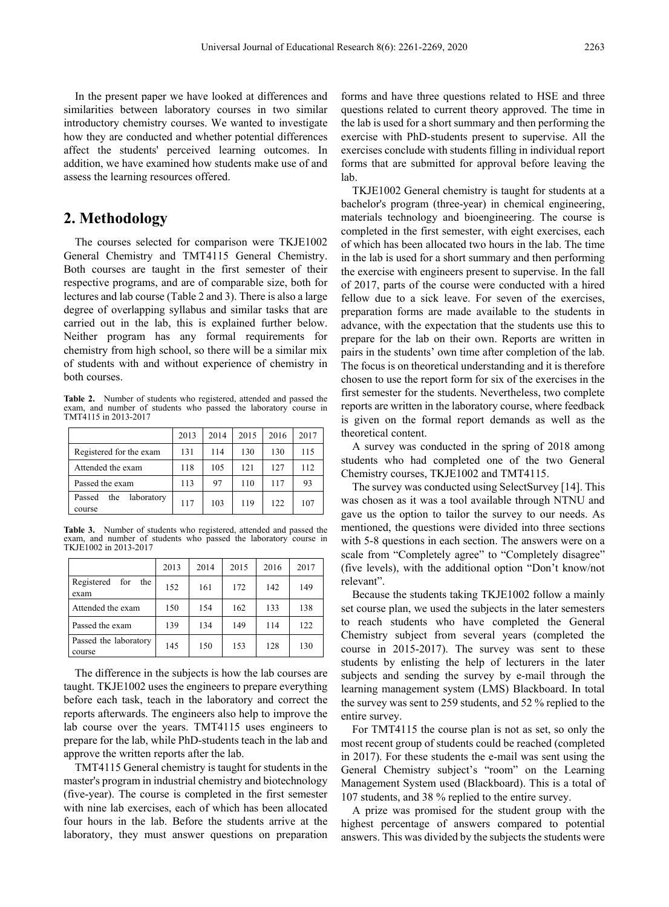In the present paper we have looked at differences and similarities between laboratory courses in two similar introductory chemistry courses. We wanted to investigate how they are conducted and whether potential differences affect the students' perceived learning outcomes. In addition, we have examined how students make use of and assess the learning resources offered.

## **2. Methodology**

The courses selected for comparison were TKJE1002 General Chemistry and TMT4115 General Chemistry. Both courses are taught in the first semester of their respective programs, and are of comparable size, both for lectures and lab course (Table 2 and 3). There is also a large degree of overlapping syllabus and similar tasks that are carried out in the lab, this is explained further below. Neither program has any formal requirements for chemistry from high school, so there will be a similar mix of students with and without experience of chemistry in both courses.

**Table 2.** Number of students who registered, attended and passed the exam, and number of students who passed the laboratory course in TMT4115 in 2013-2017

|                                       | 2013 | 2014 | 2015 | 2016 | 2017 |
|---------------------------------------|------|------|------|------|------|
| Registered for the exam               | 131  | 114  | 130  | 130  | 115  |
| Attended the exam                     | 118  | 105  | 121  | 127  | 112  |
| Passed the exam                       | 113  | 97   | 110  | 117  | 93   |
| laboratory<br>Passed<br>the<br>course | 117  | 103  | 119  | 122. | 107  |

**Table 3.** Number of students who registered, attended and passed the exam, and number of students who passed the laboratory course in TKJE1002 in 2013-2017

|                                  | 2013 | 2014 | 2015 | 2016 | 2017 |
|----------------------------------|------|------|------|------|------|
| Registered<br>for<br>the<br>exam | 152  | 161  | 172  | 142  | 149  |
| Attended the exam                | 150  | 154  | 162  | 133  | 138  |
| Passed the exam                  | 139  | 134  | 149  | 114  | 122  |
| Passed the laboratory<br>course  | 145  | 150  | 153  | 128  | 130  |

The difference in the subjects is how the lab courses are taught. TKJE1002 uses the engineers to prepare everything before each task, teach in the laboratory and correct the reports afterwards. The engineers also help to improve the lab course over the years. TMT4115 uses engineers to prepare for the lab, while PhD-students teach in the lab and approve the written reports after the lab.

TMT4115 General chemistry is taught for students in the master's program in industrial chemistry and biotechnology (five-year). The course is completed in the first semester with nine lab exercises, each of which has been allocated four hours in the lab. Before the students arrive at the laboratory, they must answer questions on preparation

forms and have three questions related to HSE and three questions related to current theory approved. The time in the lab is used for a short summary and then performing the exercise with PhD-students present to supervise. All the exercises conclude with students filling in individual report forms that are submitted for approval before leaving the lab.

TKJE1002 General chemistry is taught for students at a bachelor's program (three-year) in chemical engineering, materials technology and bioengineering. The course is completed in the first semester, with eight exercises, each of which has been allocated two hours in the lab. The time in the lab is used for a short summary and then performing the exercise with engineers present to supervise. In the fall of 2017, parts of the course were conducted with a hired fellow due to a sick leave. For seven of the exercises, preparation forms are made available to the students in advance, with the expectation that the students use this to prepare for the lab on their own. Reports are written in pairs in the students' own time after completion of the lab. The focus is on theoretical understanding and it is therefore chosen to use the report form for six of the exercises in the first semester for the students. Nevertheless, two complete reports are written in the laboratory course, where feedback is given on the formal report demands as well as the theoretical content.

A survey was conducted in the spring of 2018 among students who had completed one of the two General Chemistry courses, TKJE1002 and TMT4115.

The survey was conducted using SelectSurvey [14]. This was chosen as it was a tool available through NTNU and gave us the option to tailor the survey to our needs. As mentioned, the questions were divided into three sections with 5-8 questions in each section. The answers were on a scale from "Completely agree" to "Completely disagree" (five levels), with the additional option "Don't know/not relevant".

Because the students taking TKJE1002 follow a mainly set course plan, we used the subjects in the later semesters to reach students who have completed the General Chemistry subject from several years (completed the course in 2015-2017). The survey was sent to these students by enlisting the help of lecturers in the later subjects and sending the survey by e-mail through the learning management system (LMS) Blackboard. In total the survey was sent to 259 students, and 52 % replied to the entire survey.

For TMT4115 the course plan is not as set, so only the most recent group of students could be reached (completed in 2017). For these students the e-mail was sent using the General Chemistry subject's "room" on the Learning Management System used (Blackboard). This is a total of 107 students, and 38 % replied to the entire survey.

A prize was promised for the student group with the highest percentage of answers compared to potential answers. This was divided by the subjects the students were